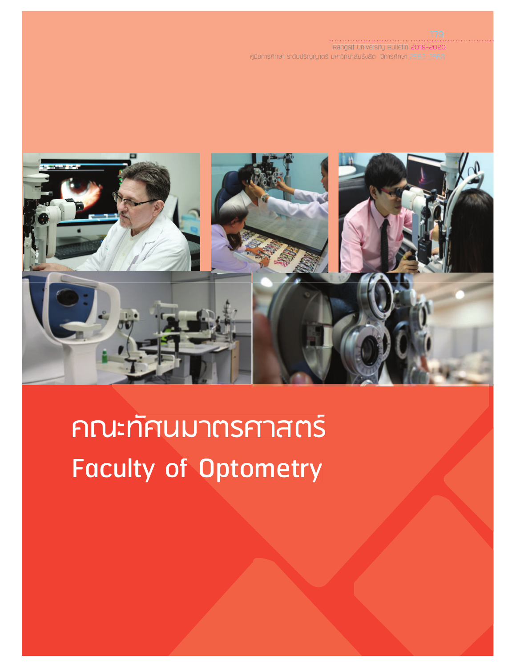|  |                                                                       | . |
|--|-----------------------------------------------------------------------|---|
|  |                                                                       |   |
|  | Rangsit University Aulletin 2019-2020                                 |   |
|  |                                                                       |   |
|  | เค่มือการศึกษา ระดับปริญญาตรี มหาวิทยาลัยรังสิต  ปีการศึกษา 2562-2563 |   |
|  |                                                                       |   |



# **คณะทัศนมาตรศาสตร์ Faculty of Optometry**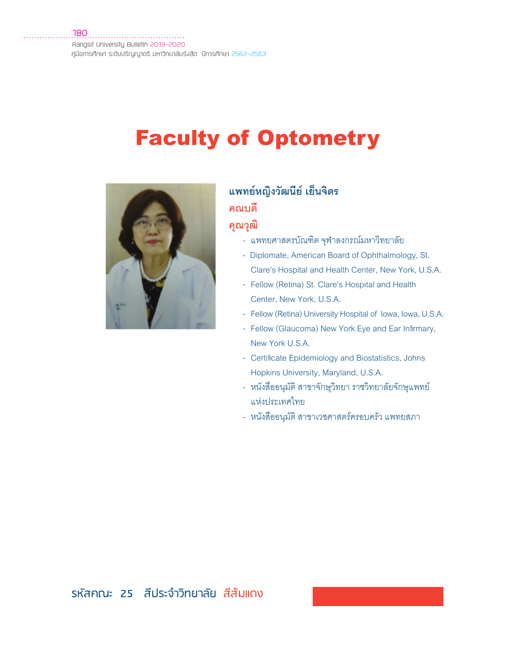# **Faculty of Optometry**



# แพทย์หญิงวัฒนีย์ เย็นจิตร คณบดี

#### คณวฒิ

- แพทยศาสตรบัณฑิต จุฬาลงกรณ์มหาวิทยาลัย
- Diplomate, American Board of Ophthalmology, St. Clare's Hospital and Health Center, New York, U.S.A.
- Fellow (Retina) St. Clare's Hospital and Health Center, New York, U.S.A.
- Fellow (Retina) University Hospital of Iowa, Iowa, U.S.A.
- Fellow (Glaucoma) New York Eye and Ear Infirmary, New York U.S.A.
- Certificate Epidemiology and Biostatistics, Johns Hopkins University, Maryland, U.S.A.
- หนังสืออนุมัติ สาขาจักษุวิทยา ราชวิทยาลัยจักษุแพทย์ แห่งประเทศไทย
- หนังสืออนุมัติ สาขาเวชศาสตร์ครอบครัว แพทยสภา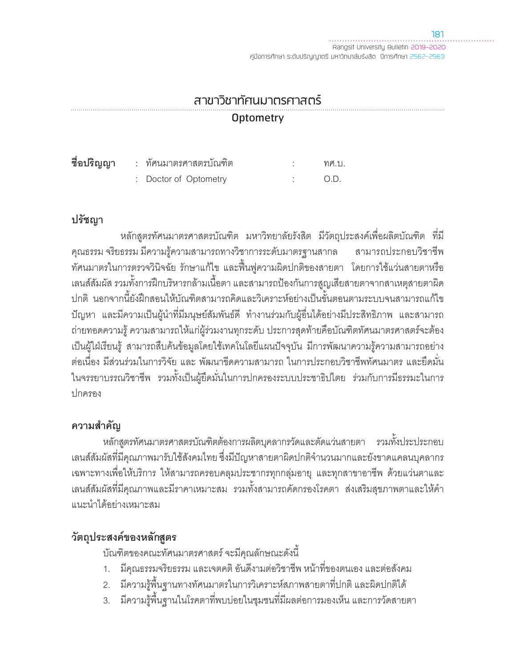# ้สาขาวิชาทัศนมาตรศาสตร์ **Optometry**

| ชื่อปริญญา | : ทัศนมาตรศาสตรบัณฑิต | ทศ.บ. |
|------------|-----------------------|-------|
|            | : Doctor of Optometry | O.D.  |

### ปรัชญา

หลักสูตรทัศนมาตรศาสตรบัณฑิต มหาวิทยาลัยรังสิต มีวัตถุประสงค์เพื่อผลิตบัณฑิต ที่มี คุณธรรม จริยธรรม มีความรู้ความสามารถทางวิชาการระดับมาตรฐานสากล สามารถประกอบวิชาชีพ ้ ทัศนมาตรในการตรวจวินิจฉัย รักษาแก้ไข และฟื้นฟูความผิดปกติของสายตา โดยการใช้แว่นสายตาหรือ เลนส์สัมผัส รวมทั้งการฝึกบริหารกล้ามเนื้อตา และสามารถป้องกันการสูญเสียสายตาจากสาเหตุสายตาผิด ี ปกติ นอกจากนี้ยังฝึกสอนให้บัณฑิตสามารถคิดและวิเคราะห์อย่างเป็นขั้นตอนตามระบบจนสามารถแก้ไข ้ ปัญหา และมีความเป็นผู้นำที่มีมนุษย์สัมพันธ์ดี ทำงานร่วมกับผู้อื่นได้อย่างมีประสิทธิภาพ และสามารถ ถ่ายทอดความรู้ ความสามารถให้แก่ผู้ร่วมงานทุกระดับ ประการสุดท้ายคือบัณฑิตทัศนมาตรศาสตร์จะต้อง เป็นผู้ใฝ่เรียนรู้ สามารถสืบค้นข้อมูลโดยใช้เทคโนโลยีแผนปัจจุบัน มีการพัฒนาความรู้ความสามารถอย่าง ต่อเนื่อง มีส่วนร่วมในการวิจัย และ พัฒนาขีดความสามารถ ในการประกอบวิชาชีพทัศนมาตร และยึดมั่น ในจรรยาบรรณวิชาชีพ รวมทั้งเป็นผู้ยึดมั่นในการปกครองระบบประชาธิปไตย ร่วมกับการมีธรรมะในการ <u> ปกครคง</u>

### ความสำคัญ

หลักสูตรทัศนมาตรศาสตรบัณฑิตต้องการผลิตบุคลากรวัดและตัดแว่นสายตา รวมทั้งประประกอบ เลนส์สัมผัสที่มีคุณภาพมารับใช้สังคมไทย ซึ่งมีปัญหาสายตาผิดปกติจำนวนมากและยังขาดแคลนบุคลากร ้เฉพาะทางเพื่อให้บริการ ให้สามารถครอบคลุมประชากรทุกกลุ่มอายุ และทุกสาขาอาชีพ ด้วยแว่นตาและ ้เลนส์สัมผัสที่มีคุณภาพและมีราคาเหมาะสม รวมทั้งสามารถคัดกรองโรคตา ส่งเสริมสุขภาพตาและให้คำ แนะนำได้อย่างเหมาะสม

# วัตถุประสงค์ของหลักสูตร

บัณฑิตของคณะทัศนมาตรศาสตร์ จะมีคุณลักษณะดังนี้

- 1. มีคุณธรรมจริยธรรม และเจตคติ อันดีงามต่อวิชาชีพ หน้าที่ของตนเอง และต่อสังคม
- 2. มีความรู้พื้นฐานทางทัศนมาตรในการวิเคราะห์สภาพสายตาที่ปกติ และผิดปกติได้
- 3. มีความรู้พื้นฐานในโรคตาที่พบบ่อยในชุมชนที่มีผลต่อการมองเห็น และการวัดสายตา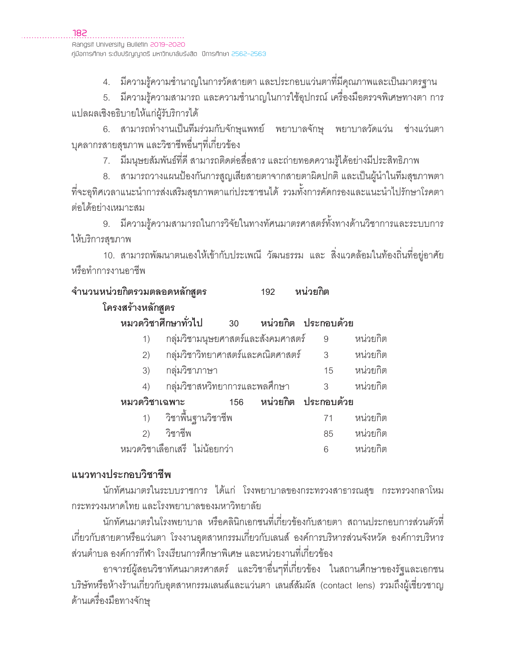4. มีความรู้ความชำนาญในการวัดสายตา และประกอบแว่นตาที่มีคุณภาพและเป็นมาตรฐาน

. มีความรู้ความสามารถ และความชำนาญในการใช้อุปกรณ์ เครื่องมือตรวจพิเศษทางตา การ แปลผลเชิงอธิบายให้แก่ผู้รับริการได้

6. สามารถทำงานเป็นที่มร่วมกับจักษุแพทย์ พยาบาลจักษุ พยาบาลวัดแว่น ช่างแว่นตา ้บุคลากรสายสุขภาพ และวิชาชีพอื่นๆที่เกี่ยวข้อง

7. มีมนุษยสัมพันธ์ที่ดี สามารถติดต่อสื่อสาร และถ่ายทอดความรู้ได้อย่างมีประสิทธิภาพ

8. สามารถวางแผนป้องกันการสูญเสียสายตาจากสายตาผิดปกติ และเป็นผู้นำในที่มสุขภาพตา ที่จะอุทิศเวลาแนะนำการส่งเสริมสุขภาพตาแก่ประชาชนได้ รวมทั้งการคัดกรองและแนะนำไปรักษาโรคตา ต่อได้อย่างเหมาะสม

. มีความรู้ความสามารถในการวิจัยในทางทัศนมาตรศาสตร์ทั้งทางด้านวิชาการและระบบการ ให้บริการสุขภาพ

. 10. สามารถพัฒนาตนเองให้เข้ากับประเพณี วัฒนธรรม และ สิ่งแวดล้อมในท้องถิ่นที่อยู่อาศัย หรือทำการงานคาซีพ

| จำนวนหน่วยกิตรวมตลอดหลักสูตร                     | 192 หน่วยกิต |    |             |
|--------------------------------------------------|--------------|----|-------------|
| โครงสร้างหลักสูตร                                |              |    |             |
| หมวดวิชาศึกษาทั่วไป 30 หน่วยกิต ประกอบด้วย       |              |    |             |
| 1) กลุ่มวิชามนุษยศาสตร์และสังคมศาสตร์ 9 หน่วยกิต |              |    |             |
| 2) กลุ่มวิชาวิทยาศาสตร์และคณิตศาสตร์ 3 หน่วยกิต  |              |    |             |
| 3) กลุ่มวิชาภาษา                                 |              |    | 15 หน่วยกิต |
| 4) กลุ่มวิชาสหวิทยาการและพลศึกษา  3 หน่วยกิต     |              |    |             |
| หมวดวิชาเฉพาะ  156 หน่วยกิต ประกอบด้วย           |              |    |             |
| 1) วิชาพื้นฐานวิชาชีพ                            |              | 71 | หน่วยกิต    |
| 2) วิชาชีพ                                       |              |    | 85 หน่วยกิต |
| หมวดวิชาเลือกเสรี ไม่น้อยกว่า                    |              | 6  | หน่วยกิต    |

# แนวทางประกอบวิชาชีพ

นักทัศนมาตรในระบบราชการ ได้แก่ โรงพยาบาลของกระทรวงสาธารณสุข กระทรวงกลาโหม กระทรวงมหาดไทย และโรงพยาบาลของมหาวิทยาลัย

นักทัศนมาตรในโรงพยาบาล หรือคลินิกเอกชนที่เกี่ยวข้องกับสายตา สถานประกอบการส่วนตัวที่ ้เกี่ยวกับสายตาหรือแว่นตา โรงงานอุตสาหกรรมเกี่ยวกับเลนส์ องค์การบริหารส่วนจังหวัด องค์การบริหาร ส่วนตำบล องค์การกีฬา โรงเรียนการศึกษาพิเศษ และหน่วยงานที่เกี่ยวข้อง

อาจารย์ผู้สอนวิชาทัศนมาตรศาสตร์ และวิชาอื่นๆที่เกี่ยวข้อง ในสถานศึกษาของรัฐและเอกชน บริษัทหรือห้างร้านเกี่ยวกับอุตสาหกรรมเลนส์และแว่นตา เลนส์สัมผัส (contact lens) รวมถึงผู้เชี่ยวชาญ ด้านเครื่องมือทางจักษุ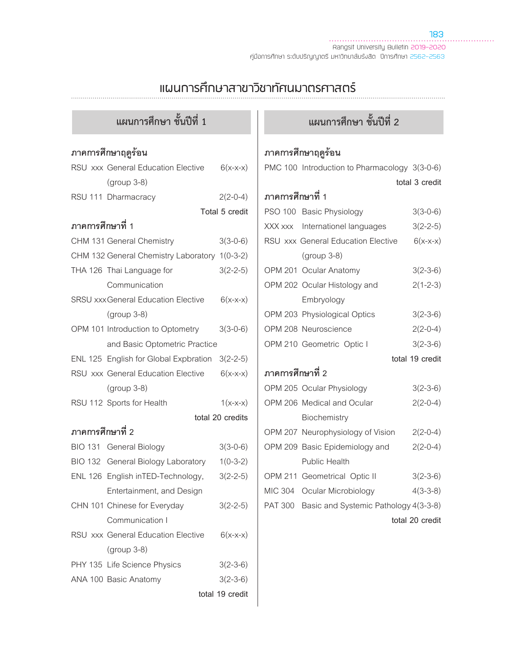#### **183** Rangsit University Bulletin 2019-2020 คู่มือการศึกษา ระดับปริญญาตรี มหาวิทยาลัยรังสิต ปีการศึกษา 2562-2563

# Ǩ¦¼¯ŰÀ´¼µ¼¼³¾¼¤»Ű¦¼ĥ¯Ű¼µĥ¯þ

| แผนการศึกษา ชั้นปีที่ 1 |                                                |                  |  |  |  |
|-------------------------|------------------------------------------------|------------------|--|--|--|
| ภาคการศึกษาฤดูร้อน      |                                                |                  |  |  |  |
|                         | RSU xxx General Education Elective             | $6(x-x-x)$       |  |  |  |
|                         | $(group 3-8)$                                  |                  |  |  |  |
|                         | RSU 111 Dharmacracy                            | $2(2-0-4)$       |  |  |  |
|                         |                                                | Total 5 credit   |  |  |  |
| ภาคการศึกษาที่ 1        |                                                |                  |  |  |  |
|                         | CHM 131 General Chemistry                      | $3(3-0-6)$       |  |  |  |
|                         | CHM 132 General Chemistry Laboratory 1(0-3-2)  |                  |  |  |  |
|                         | THA 126 Thai Language for                      | $3(2 - 2 - 5)$   |  |  |  |
|                         | Communication                                  |                  |  |  |  |
|                         | <b>SRSU xxx General Education Elective</b>     | $6(x-x-x)$       |  |  |  |
|                         | $(group 3-8)$                                  |                  |  |  |  |
|                         | OPM 101 Introduction to Optometry              | $3(3-0-6)$       |  |  |  |
|                         | and Basic Optometric Practice                  |                  |  |  |  |
|                         | ENL 125 English for Global Expbration 3(2-2-5) |                  |  |  |  |
|                         | RSU xxx General Education Elective             | $6(x-x-x)$       |  |  |  |
|                         | $(group 3-8)$                                  |                  |  |  |  |
|                         | RSU 112 Sports for Health                      | $1(x-x-x)$       |  |  |  |
|                         |                                                | total 20 credits |  |  |  |
| ภาคการศึกษาที่ 2        |                                                |                  |  |  |  |
|                         | BIO 131 General Biology                        | $3(3-0-6)$       |  |  |  |
|                         | BIO 132 General Biology Laboratory             | $1(0-3-2)$       |  |  |  |
|                         | ENL 126 English inTED-Technology,              | $3(2 - 2 - 5)$   |  |  |  |
|                         | Entertainment, and Design                      |                  |  |  |  |
|                         | CHN 101 Chinese for Everyday                   | $3(2 - 2 - 5)$   |  |  |  |
|                         | Communication I                                |                  |  |  |  |
|                         | RSU xxx General Education Elective             | $6(x-x-x)$       |  |  |  |
|                         | $(group 3-8)$                                  |                  |  |  |  |
|                         | PHY 135 Life Science Physics                   | $3(2 - 3 - 6)$   |  |  |  |
|                         | ANA 100 Basic Anatomy                          | $3(2 - 3 - 6)$   |  |  |  |
|                         |                                                | total 19 credit  |  |  |  |

# $\,$ แผนการศึกษา ชั้นปีที่ 2

# ภาคการศึกษาฤดูร้อน

|                  | PMC 100 Introduction to Pharmacology 3(3-0-6) |                 |
|------------------|-----------------------------------------------|-----------------|
|                  |                                               | total 3 credit  |
| ภาคการศึกษาที่ 1 |                                               |                 |
|                  | PSO 100 Basic Physiology                      | $3(3-0-6)$      |
|                  | XXX xxx  Internationel languages              | $3(2 - 2 - 5)$  |
|                  | RSU xxx General Education Elective            | $6(x-x-x)$      |
|                  | $(group 3-8)$                                 |                 |
|                  | OPM 201 Ocular Anatomy                        | $3(2 - 3 - 6)$  |
|                  | OPM 202 Ocular Histology and                  | $2(1-2-3)$      |
|                  | Embryology                                    |                 |
|                  | OPM 203 Physiological Optics                  | $3(2 - 3 - 6)$  |
|                  | OPM 208 Neuroscience                          | $2(2-0-4)$      |
|                  | OPM 210 Geometric Optic I                     | $3(2 - 3 - 6)$  |
|                  |                                               | total 19 credit |
| ภาคการศึกษาที่ 2 |                                               |                 |
|                  | OPM 205 Ocular Physiology                     | $3(2 - 3 - 6)$  |
|                  | OPM 206 Medical and Ocular                    | $2(2-0-4)$      |
|                  | Biochemistry                                  |                 |
|                  | OPM 207 Neurophysiology of Vision             | $2(2-0-4)$      |
|                  | OPM 209 Basic Epidemiology and                | $2(2-0-4)$      |
|                  | Public Health                                 |                 |
|                  | OPM 211 Geometrical Optic II                  | $3(2 - 3 - 6)$  |
|                  | MIC 304 Ocular Microbiology                   | $4(3-3-8)$      |
|                  | PAT 300 Basic and Systemic Pathology 4(3-3-8) |                 |
|                  |                                               | total 20 credit |
|                  |                                               |                 |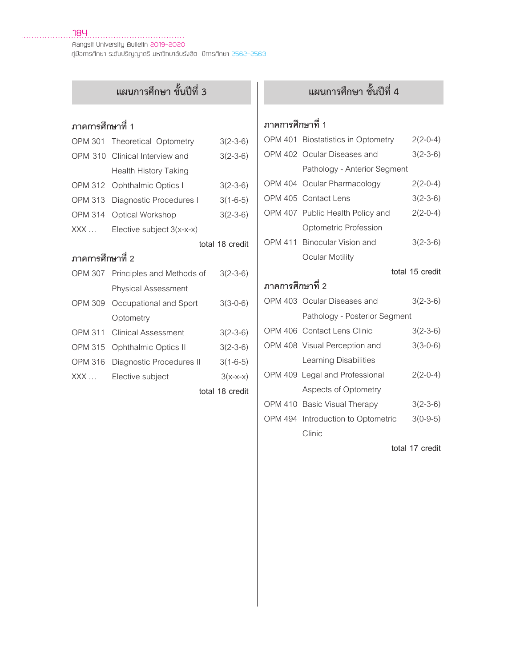# **ĒñîÖćøýċÖþćǰßĆĚîðŘìĊęǰ ĒñîÖćøýċÖþćǰßĆĚîðŘìĊęǰ**

# **์**<br>ภาคการศึกษาที่ 1

| <b>OPM 301</b>   | Theoretical Optometry       | $3(2 - 3 - 6)$  |
|------------------|-----------------------------|-----------------|
| <b>OPM 310</b>   | Clinical Interview and      | $3(2 - 3 - 6)$  |
|                  | Health History Taking       |                 |
| <b>OPM 312</b>   | Ophthalmic Optics I         | $3(2 - 3 - 6)$  |
| OPM 313          | Diagnostic Procedures I     | $3(1-6-5)$      |
| <b>OPM 314</b>   | Optical Workshop            | $3(2 - 3 - 6)$  |
| XXX              | Elective subject $3(x-x-x)$ |                 |
|                  |                             | total 18 credit |
| ภาคการศึกษาที่ 2 |                             |                 |
| OPM 307          | Principles and Methods of   | $3(2 - 3 - 6)$  |
|                  | <b>Physical Assessment</b>  |                 |
| <b>OPM 309</b>   | Occupational and Sport      | $3(3-0-6)$      |
|                  | Optometry                   |                 |
| <b>OPM 311</b>   | <b>Clinical Assessment</b>  | $3(2 - 3 - 6)$  |
| <b>OPM 315</b>   | <b>Ophthalmic Optics II</b> | $3(2 - 3 - 6)$  |
| <b>OPM 316</b>   | Diagnostic Procedures II    | $3(1-6-5)$      |
| $XXX$            | Elective subject            | $3(x-x-x)$      |
|                  |                             | total 18 credit |
|                  |                             |                 |

# $\mathfrak m$ าคการศึกษาที่ 1

|                  | OPM 401 Biostatistics in Optometry | $2(2-0-4)$      |
|------------------|------------------------------------|-----------------|
|                  | OPM 402 Ocular Diseases and        | $3(2 - 3 - 6)$  |
|                  | Pathology - Anterior Segment       |                 |
| OPM 404          | Ocular Pharmacology                | $2(2-0-4)$      |
| OPM 405          | <b>Contact Lens</b>                | $3(2 - 3 - 6)$  |
|                  | OPM 407 Public Health Policy and   | $2(2-0-4)$      |
|                  | Optometric Profession              |                 |
|                  | OPM 411 Binocular Vision and       | $3(2-3-6)$      |
|                  | <b>Ocular Motility</b>             |                 |
|                  |                                    | total 15 credit |
| ภาคการศึกษาที่ 2 |                                    |                 |
|                  | OPM 403 Ocular Diseases and        | $3(2 - 3 - 6)$  |
|                  | Pathology - Posterior Segment      |                 |
|                  | OPM 406 Contact Lens Clinic        | $3(2 - 3 - 6)$  |
|                  | OPM 408 Visual Perception and      | $3(3-0-6)$      |
|                  | Learning Disabilities              |                 |
|                  | OPM 409 Legal and Professional     | $2(2-0-4)$      |
|                  | Aspects of Optometry               |                 |
|                  | OPM 410 Basic Visual Therapy       | $3(2-3-6)$      |
|                  | OPM 494 Introduction to Optometric | $3(0-9-5)$      |
|                  | Clinic                             |                 |
|                  |                                    | total 17 credit |

**184**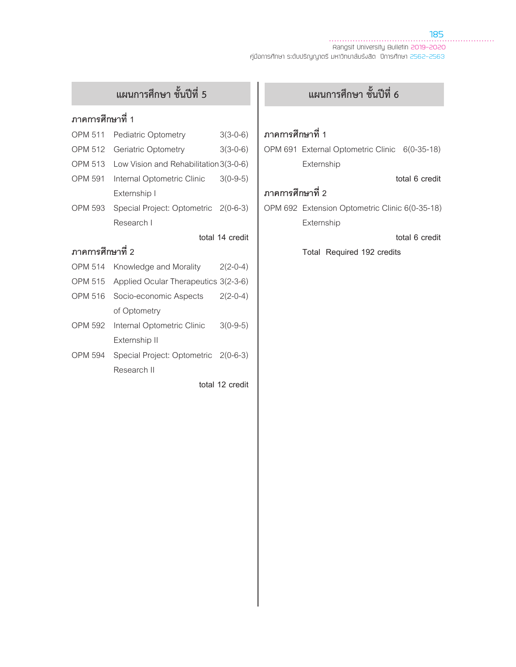# $\frac{1}{2}$ แผนการศึกษา ชั้นปีที่ 5 **โต**้อง 1 แผนการศึกษา ชั้นปีที่ 6

# **์**<br>ภาคการศึกษาที่ 1

| OPM 511          | Pediatric Optometry                    | $3(3-0-6)$      |
|------------------|----------------------------------------|-----------------|
| OPM 512          | Geriatric Optometry                    | $3(3-0-6)$      |
| OPM 513          | Low Vision and Rehabilitation 3(3-0-6) |                 |
| OPM 591          | Internal Optometric Clinic             | $3(0-9-5)$      |
|                  | Externship I                           |                 |
| OPM 593          | Special Project: Optometric 2(0-6-3)   |                 |
|                  | Research I                             |                 |
|                  |                                        | total 14 credit |
| ภาคการศึกษาที่ 2 |                                        |                 |
| OPM 514          | Knowledge and Morality                 | $2(2-0-4)$      |
| OPM 515          | Applied Ocular Therapeutics 3(2-3-6)   |                 |
| OPM 516          | Socio-economic Aspects                 | $2(2-0-4)$      |
|                  | of Optometry                           |                 |
| OPM 592          | Internal Optometric Clinic             | $3(0-9-5)$      |
|                  | Externship II                          |                 |
| OPM 594          | Special Project: Optometric 2(0-6-3)   |                 |
|                  | Research II                            |                 |
|                  |                                        | total 12 credit |

### **ภาคการศึกษาที่** 1

OPM 691 External Optometric Clinic 6(0-35-18) Externship

#### total 6 credit

# **ภาคการศึกษาที่** 2

OPM 692 Extension Optometric Clinic 6(0-35-18) Externship

total 6 credit

Total Required 192 credits